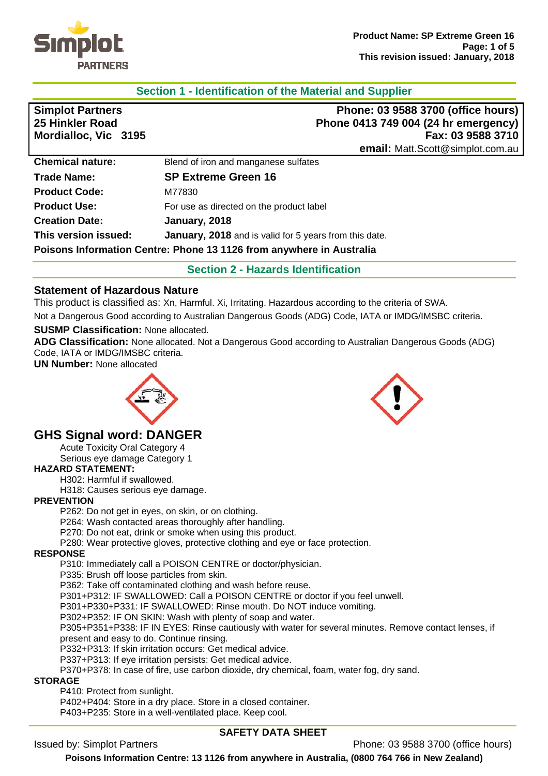

## **Section 1 - Identification of the Material and Supplier**

| <b>Simplot Partners</b>                                              | Phone: 03 9588 3700 (office hours)                            |  |
|----------------------------------------------------------------------|---------------------------------------------------------------|--|
| 25 Hinkler Road                                                      | Phone 0413 749 004 (24 hr emergency)                          |  |
| Mordialloc, Vic 3195                                                 | Fax: 03 9588 3710                                             |  |
|                                                                      | email: Matt.Scott@simplot.com.au                              |  |
| <b>Chemical nature:</b>                                              | Blend of iron and manganese sulfates                          |  |
| <b>Trade Name:</b>                                                   | <b>SP Extreme Green 16</b>                                    |  |
| <b>Product Code:</b>                                                 | M77830                                                        |  |
| <b>Product Use:</b>                                                  | For use as directed on the product label                      |  |
| <b>Creation Date:</b>                                                | January, 2018                                                 |  |
| This version issued:                                                 | <b>January, 2018</b> and is valid for 5 years from this date. |  |
| Poisons Information Centre: Phone 13 1126 from anywhere in Australia |                                                               |  |

**Section 2 - Hazards Identification** 

### **Statement of Hazardous Nature**

This product is classified as: Xn, Harmful. Xi, Irritating. Hazardous according to the criteria of SWA. Not a Dangerous Good according to Australian Dangerous Goods (ADG) Code, IATA or IMDG/IMSBC criteria.

#### **SUSMP Classification:** None allocated.

**ADG Classification:** None allocated. Not a Dangerous Good according to Australian Dangerous Goods (ADG) Code, IATA or IMDG/IMSBC criteria.

**UN Number:** None allocated



# **GHS Signal word: DANGER**

Acute Toxicity Oral Category 4 Serious eye damage Category 1

# **HAZARD STATEMENT:**

H302: Harmful if swallowed.

H318: Causes serious eye damage.

### **PREVENTION**

P262: Do not get in eyes, on skin, or on clothing.

P264: Wash contacted areas thoroughly after handling.

P270: Do not eat, drink or smoke when using this product.

P280: Wear protective gloves, protective clothing and eye or face protection.

#### **RESPONSE**

P310: Immediately call a POISON CENTRE or doctor/physician.

P335: Brush off loose particles from skin.

P362: Take off contaminated clothing and wash before reuse.

P301+P312: IF SWALLOWED: Call a POISON CENTRE or doctor if you feel unwell.

P301+P330+P331: IF SWALLOWED: Rinse mouth. Do NOT induce vomiting.

P302+P352: IF ON SKIN: Wash with plenty of soap and water.

P305+P351+P338: IF IN EYES: Rinse cautiously with water for several minutes. Remove contact lenses, if present and easy to do. Continue rinsing.

P332+P313: If skin irritation occurs: Get medical advice.

P337+P313: If eye irritation persists: Get medical advice.

P370+P378: In case of fire, use carbon dioxide, dry chemical, foam, water fog, dry sand.

**STORAGE** 

P410: Protect from sunlight.

P402+P404: Store in a dry place. Store in a closed container.

P403+P235: Store in a well-ventilated place. Keep cool.

### **SAFETY DATA SHEET**

Issued by: Simplot Partners Phone: 03 9588 3700 (office hours)

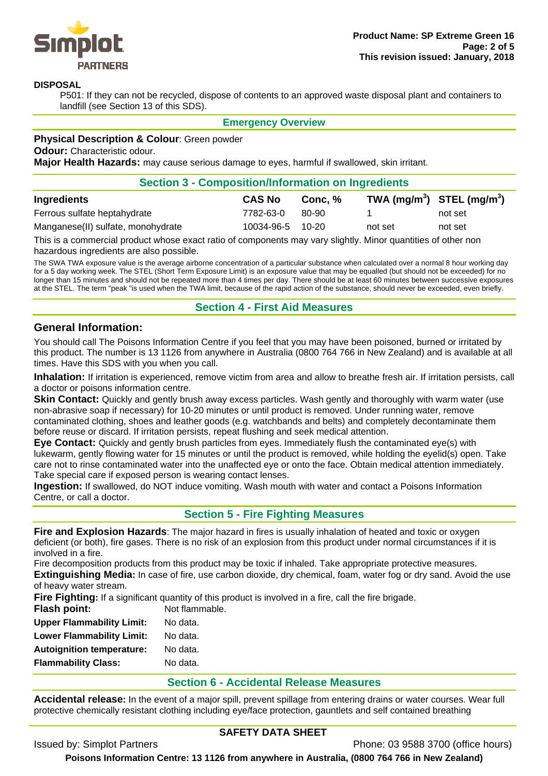

#### **DISPOSAL**

P501: If they can not be recycled, dispose of contents to an approved waste disposal plant and containers to landfill (see Section 13 of this SDS).

**Emergency Overview** 

#### **Physical Description & Colour**: Green powder

**Odour: Characteristic odour.** 

**Major Health Hazards:** may cause serious damage to eyes, harmful if swallowed, skin irritant.

| <b>Section 3 - Composition/Information on Ingredients</b> |                  |         |                                                    |         |
|-----------------------------------------------------------|------------------|---------|----------------------------------------------------|---------|
| Ingredients                                               | <b>CAS No</b>    | Conc. % | TWA (mg/m <sup>3</sup> ) STEL (mg/m <sup>3</sup> ) |         |
| Ferrous sulfate heptahydrate                              | 7782-63-0        | 80-90   |                                                    | not set |
| Manganese(II) sulfate, monohydrate                        | 10034-96-5 10-20 |         | not set                                            | not set |

This is a commercial product whose exact ratio of components may vary slightly. Minor quantities of other non hazardous ingredients are also possible.

The SWA TWA exposure value is the average airborne concentration of a particular substance when calculated over a normal 8 hour working day for a 5 day working week. The STEL (Short Term Exposure Limit) is an exposure value that may be equalled (but should not be exceeded) for no longer than 15 minutes and should not be repeated more than 4 times per day. There should be at least 60 minutes between successive exposures at the STEL. The term "peak "is used when the TWA limit, because of the rapid action of the substance, should never be exceeded, even briefly.

#### **Section 4 - First Aid Measures**

#### **General Information:**

You should call The Poisons Information Centre if you feel that you may have been poisoned, burned or irritated by this product. The number is 13 1126 from anywhere in Australia (0800 764 766 in New Zealand) and is available at all times. Have this SDS with you when you call.

**Inhalation:** If irritation is experienced, remove victim from area and allow to breathe fresh air. If irritation persists, call a doctor or poisons information centre.

**Skin Contact:** Quickly and gently brush away excess particles. Wash gently and thoroughly with warm water (use non-abrasive soap if necessary) for 10-20 minutes or until product is removed. Under running water, remove contaminated clothing, shoes and leather goods (e.g. watchbands and belts) and completely decontaminate them before reuse or discard. If irritation persists, repeat flushing and seek medical attention.

**Eye Contact:** Quickly and gently brush particles from eyes. Immediately flush the contaminated eye(s) with lukewarm, gently flowing water for 15 minutes or until the product is removed, while holding the eyelid(s) open. Take care not to rinse contaminated water into the unaffected eye or onto the face. Obtain medical attention immediately. Take special care if exposed person is wearing contact lenses.

**Ingestion:** If swallowed, do NOT induce vomiting. Wash mouth with water and contact a Poisons Information Centre, or call a doctor.

### **Section 5 - Fire Fighting Measures**

**Fire and Explosion Hazards**: The major hazard in fires is usually inhalation of heated and toxic or oxygen deficient (or both), fire gases. There is no risk of an explosion from this product under normal circumstances if it is involved in a fire.

Fire decomposition products from this product may be toxic if inhaled. Take appropriate protective measures. **Extinguishing Media:** In case of fire, use carbon dioxide, dry chemical, foam, water fog or dry sand. Avoid the use of heavy water stream.

**Fire Fighting:** If a significant quantity of this product is involved in a fire, call the fire brigade.

| Not flammable. |  |
|----------------|--|
| No data.       |  |
| No data.       |  |
| No data.       |  |
| No data.       |  |
|                |  |

#### **Section 6 - Accidental Release Measures**

**Accidental release:** In the event of a major spill, prevent spillage from entering drains or water courses. Wear full protective chemically resistant clothing including eye/face protection, gauntlets and self contained breathing

### **SAFETY DATA SHEET**

Issued by: Simplot Partners Phone: 03 9588 3700 (office hours)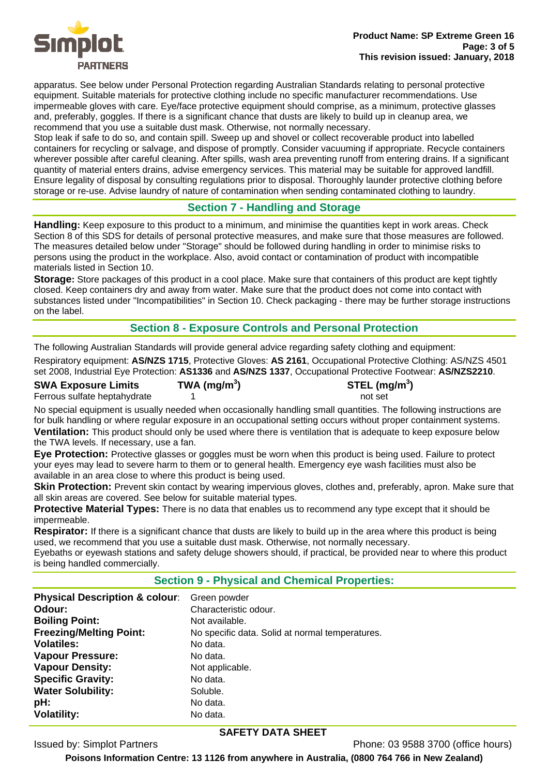

apparatus. See below under Personal Protection regarding Australian Standards relating to personal protective equipment. Suitable materials for protective clothing include no specific manufacturer recommendations. Use impermeable gloves with care. Eye/face protective equipment should comprise, as a minimum, protective glasses and, preferably, goggles. If there is a significant chance that dusts are likely to build up in cleanup area, we recommend that you use a suitable dust mask. Otherwise, not normally necessary.

Stop leak if safe to do so, and contain spill. Sweep up and shovel or collect recoverable product into labelled containers for recycling or salvage, and dispose of promptly. Consider vacuuming if appropriate. Recycle containers wherever possible after careful cleaning. After spills, wash area preventing runoff from entering drains. If a significant quantity of material enters drains, advise emergency services. This material may be suitable for approved landfill. Ensure legality of disposal by consulting regulations prior to disposal. Thoroughly launder protective clothing before storage or re-use. Advise laundry of nature of contamination when sending contaminated clothing to laundry.

## **Section 7 - Handling and Storage**

**Handling:** Keep exposure to this product to a minimum, and minimise the quantities kept in work areas. Check Section 8 of this SDS for details of personal protective measures, and make sure that those measures are followed. The measures detailed below under "Storage" should be followed during handling in order to minimise risks to persons using the product in the workplace. Also, avoid contact or contamination of product with incompatible materials listed in Section 10.

**Storage:** Store packages of this product in a cool place. Make sure that containers of this product are kept tightly closed. Keep containers dry and away from water. Make sure that the product does not come into contact with substances listed under "Incompatibilities" in Section 10. Check packaging - there may be further storage instructions on the label.

# **Section 8 - Exposure Controls and Personal Protection**

The following Australian Standards will provide general advice regarding safety clothing and equipment:

Respiratory equipment: **AS/NZS 1715**, Protective Gloves: **AS 2161**, Occupational Protective Clothing: AS/NZS 4501 set 2008, Industrial Eye Protection: **AS1336** and **AS/NZS 1337**, Occupational Protective Footwear: **AS/NZS2210**.

**SWA Exposure Limits TWA (mg/m<sup>3</sup>** Ferrous sulfate heptahydrate 1 1 not set

**) STEL (mg/m<sup>3</sup> )** 

No special equipment is usually needed when occasionally handling small quantities. The following instructions are for bulk handling or where regular exposure in an occupational setting occurs without proper containment systems. **Ventilation:** This product should only be used where there is ventilation that is adequate to keep exposure below the TWA levels. If necessary, use a fan.

**Eye Protection:** Protective glasses or goggles must be worn when this product is being used. Failure to protect your eyes may lead to severe harm to them or to general health. Emergency eye wash facilities must also be available in an area close to where this product is being used.

**Skin Protection:** Prevent skin contact by wearing impervious gloves, clothes and, preferably, apron. Make sure that all skin areas are covered. See below for suitable material types.

**Protective Material Types:** There is no data that enables us to recommend any type except that it should be impermeable.

**Respirator:** If there is a significant chance that dusts are likely to build up in the area where this product is being used, we recommend that you use a suitable dust mask. Otherwise, not normally necessary.

Eyebaths or eyewash stations and safety deluge showers should, if practical, be provided near to where this product is being handled commercially.

# **Section 9 - Physical and Chemical Properties:**

| <b>Physical Description &amp; colour:</b> | Green powder                                    |
|-------------------------------------------|-------------------------------------------------|
| Odour:                                    | Characteristic odour.                           |
| <b>Boiling Point:</b>                     | Not available.                                  |
| <b>Freezing/Melting Point:</b>            | No specific data. Solid at normal temperatures. |
| <b>Volatiles:</b>                         | No data.                                        |
| <b>Vapour Pressure:</b>                   | No data.                                        |
| <b>Vapour Density:</b>                    | Not applicable.                                 |
| <b>Specific Gravity:</b>                  | No data.                                        |
| <b>Water Solubility:</b>                  | Soluble.                                        |
| pH:                                       | No data.                                        |
| <b>Volatility:</b>                        | No data.                                        |

### **SAFETY DATA SHEET**

Issued by: Simplot Partners Phone: 03 9588 3700 (office hours)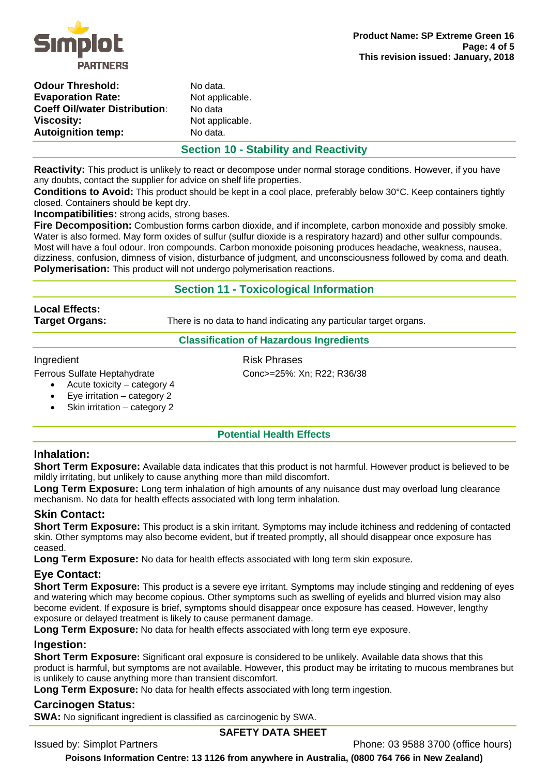

| No data.  |
|-----------|
| Not appli |
| No data   |
| Not appli |
| No data.  |
|           |

applicable. applicable.

# **Section 10 - Stability and Reactivity**

**Reactivity:** This product is unlikely to react or decompose under normal storage conditions. However, if you have any doubts, contact the supplier for advice on shelf life properties.

**Conditions to Avoid:** This product should be kept in a cool place, preferably below 30°C. Keep containers tightly closed. Containers should be kept dry.

**Incompatibilities:** strong acids, strong bases.

**Fire Decomposition:** Combustion forms carbon dioxide, and if incomplete, carbon monoxide and possibly smoke. Water is also formed. May form oxides of sulfur (sulfur dioxide is a respiratory hazard) and other sulfur compounds. Most will have a foul odour. Iron compounds. Carbon monoxide poisoning produces headache, weakness, nausea, dizziness, confusion, dimness of vision, disturbance of judgment, and unconsciousness followed by coma and death. **Polymerisation:** This product will not undergo polymerisation reactions.

# **Section 11 - Toxicological Information**

**Local Effects:** 

**Target Organs:** There is no data to hand indicating any particular target organs.

#### **Classification of Hazardous Ingredients**

#### Ingredient **Risk Phrases**

Ferrous Sulfate Heptahydrate Conc>=25%: Xn; R22; R36/38

- Acute toxicity category 4
	- Eye irritation category 2
	- Skin irritation category 2
		-

### **Potential Health Effects**

# **Inhalation:**

**Short Term Exposure:** Available data indicates that this product is not harmful. However product is believed to be mildly irritating, but unlikely to cause anything more than mild discomfort.

**Long Term Exposure:** Long term inhalation of high amounts of any nuisance dust may overload lung clearance mechanism. No data for health effects associated with long term inhalation.

### **Skin Contact:**

**Short Term Exposure:** This product is a skin irritant. Symptoms may include itchiness and reddening of contacted skin. Other symptoms may also become evident, but if treated promptly, all should disappear once exposure has ceased.

**Long Term Exposure:** No data for health effects associated with long term skin exposure.

# **Eye Contact:**

**Short Term Exposure:** This product is a severe eye irritant. Symptoms may include stinging and reddening of eyes and watering which may become copious. Other symptoms such as swelling of eyelids and blurred vision may also become evident. If exposure is brief, symptoms should disappear once exposure has ceased. However, lengthy exposure or delayed treatment is likely to cause permanent damage.

**Long Term Exposure:** No data for health effects associated with long term eye exposure.

### **Ingestion:**

**Short Term Exposure:** Significant oral exposure is considered to be unlikely. Available data shows that this product is harmful, but symptoms are not available. However, this product may be irritating to mucous membranes but is unlikely to cause anything more than transient discomfort.

**Long Term Exposure:** No data for health effects associated with long term ingestion.

# **Carcinogen Status:**

**SWA:** No significant ingredient is classified as carcinogenic by SWA.

### **SAFETY DATA SHEET**

Issued by: Simplot Partners Phone: 03 9588 3700 (office hours)